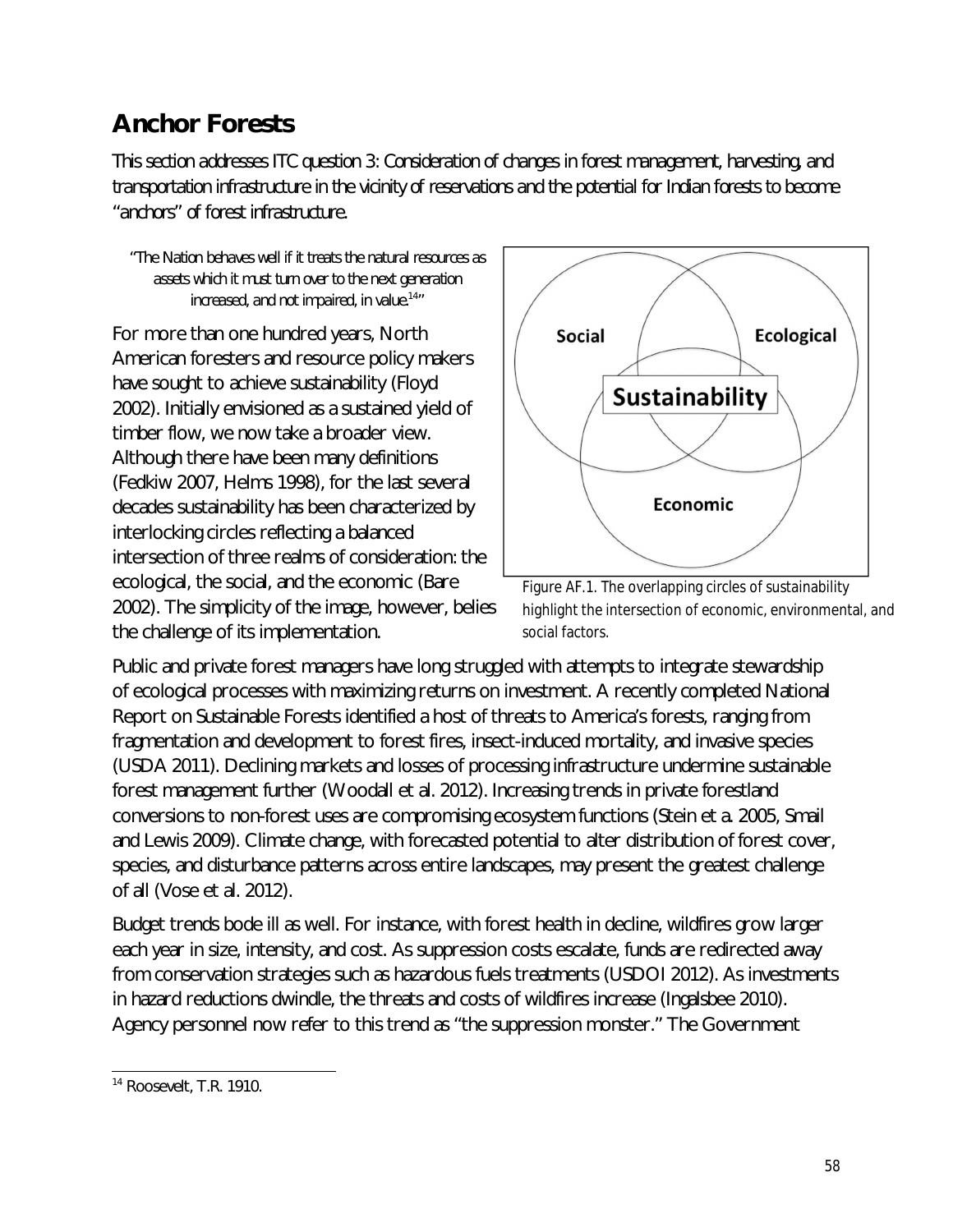## **Anchor Forests**

*This section addresses ITC question 3: Consideration of changes in forest management, harvesting, and transportation infrastructure in the vicinity of reservations and the potential for Indian forests to become "anchors" of forest infrastructure.* 

*"The Nation behaves well if it treats the natural resources as assets which it must turn over to the next generation increased, and not impaired, in value.*<sup>14</sup> *"*

For more than one hundred years, North American foresters and resource policy makers have sought to achieve sustainability (Floyd 2002). Initially envisioned as a sustained yield of timber flow, we now take a broader view. Although there have been many definitions (Fedkiw 2007, Helms 1998), for the last several decades sustainability has been characterized by interlocking circles reflecting a balanced intersection of three realms of consideration: the ecological, the social, and the economic (Bare 2002). The simplicity of the image, however, belies the challenge of its implementation.



Figure AF.1. The overlapping circles of sustainability highlight the intersection of economic, environmental, and social factors.

Public and private forest managers have long struggled with attempts to integrate stewardship of ecological processes with maximizing returns on investment. A recently completed National Report on Sustainable Forests identified a host of threats to America's forests, ranging from fragmentation and development to forest fires, insect-induced mortality, and invasive species (USDA 2011). Declining markets and losses of processing infrastructure undermine sustainable forest management further (Woodall et al. 2012). Increasing trends in private forestland conversions to non-forest uses are compromising ecosystem functions (Stein et a. 2005, Smail and Lewis 2009). Climate change, with forecasted potential to alter distribution of forest cover, species, and disturbance patterns across entire landscapes, may present the greatest challenge of all (Vose et al. 2012).

Budget trends bode ill as well. For instance, with forest health in decline, wildfires grow larger each year in size, intensity, and cost. As suppression costs escalate, funds are redirected away from conservation strategies such as hazardous fuels treatments (USDOI 2012). As investments in hazard reductions dwindle, the threats and costs of wildfires increase (Ingalsbee 2010). Agency personnel now refer to this trend as "the suppression monster." The Government

 $\overline{\phantom{a}}$ <sup>14</sup> Roosevelt, T.R. 1910.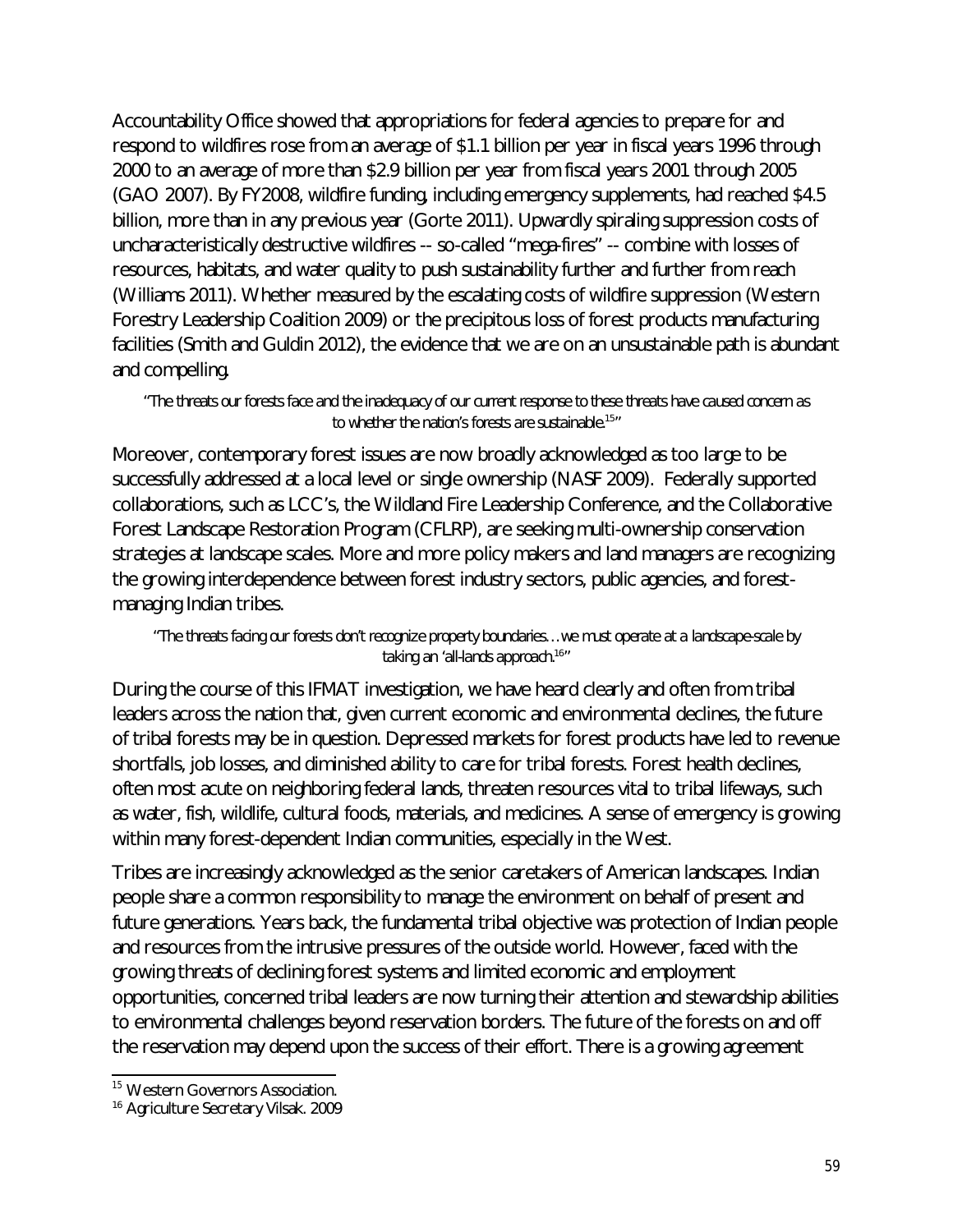Accountability Office showed that appropriations for federal agencies to prepare for and respond to wildfires rose from an average of \$1.1 billion per year in fiscal years 1996 through 2000 to an average of more than \$2.9 billion per year from fiscal years 2001 through 2005 (GAO 2007). By FY2008, wildfire funding, including emergency supplements, had reached \$4.5 billion, more than in any previous year (Gorte 2011). Upwardly spiraling suppression costs of uncharacteristically destructive wildfires -- so-called "mega-fires" -- combine with losses of resources, habitats, and water quality to push sustainability further and further from reach (Williams 2011). Whether measured by the escalating costs of wildfire suppression (Western Forestry Leadership Coalition 2009) or the precipitous loss of forest products manufacturing facilities (Smith and Guldin 2012), the evidence that we are on an unsustainable path is abundant and compelling.

*"The threats our forests face and the inadequacy of our current response to these threats have caused concern as to whether the nation's forests are sustainable.*<sup>15</sup> *"*

Moreover, contemporary forest issues are now broadly acknowledged as too large to be successfully addressed at a local level or single ownership (NASF 2009). Federally supported collaborations, such as LCC's, the Wildland Fire Leadership Conference, and the Collaborative Forest Landscape Restoration Program (CFLRP), are seeking multi-ownership conservation strategies at landscape scales. More and more policy makers and land managers are recognizing the growing interdependence between forest industry sectors, public agencies, and forestmanaging Indian tribes.

## *"The threats facing our forests don't recognize property boundaries…we must operate at a landscape-scale by taking an 'all-lands approach.*<sup>16</sup> *"*

During the course of this IFMAT investigation, we have heard clearly and often from tribal leaders across the nation that, given current economic and environmental declines, the future of tribal forests may be in question. Depressed markets for forest products have led to revenue shortfalls, job losses, and diminished ability to care for tribal forests. Forest health declines, often most acute on neighboring federal lands, threaten resources vital to tribal lifeways, such as water, fish, wildlife, cultural foods, materials, and medicines. A sense of emergency is growing within many forest-dependent Indian communities, especially in the West.

Tribes are increasingly acknowledged as the senior caretakers of American landscapes. Indian people share a common responsibility to manage the environment on behalf of present and future generations. Years back, the fundamental tribal objective was protection of Indian people and resources from the intrusive pressures of the outside world. However, faced with the growing threats of declining forest systems and limited economic and employment opportunities, concerned tribal leaders are now turning their attention and stewardship abilities to environmental challenges beyond reservation borders. The future of the forests on and off the reservation may depend upon the success of their effort. There is a growing agreement

 $\overline{\phantom{a}}$ <sup>15</sup> Western Governors Association.

<sup>&</sup>lt;sup>16</sup> Agriculture Secretary Vilsak. 2009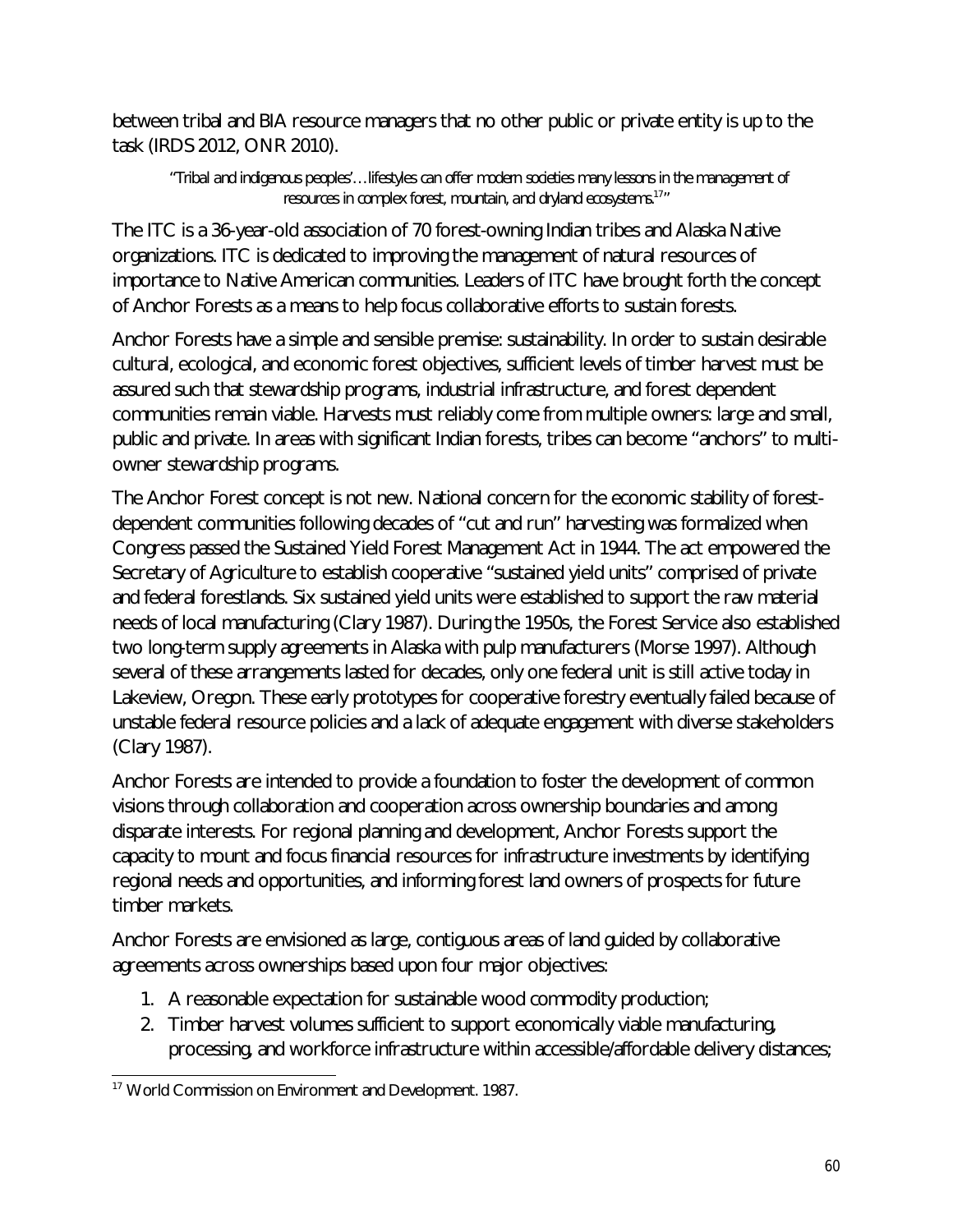between tribal and BIA resource managers that no other public or private entity is up to the task (IRDS 2012, ONR 2010).

*"Tribal and indigenous peoples'…lifestyles can offer modern societies many lessons in the management of resources in complex forest, mountain, and dryland ecosystems.*<sup>17</sup> *"*

The ITC is a 36-year-old association of 70 forest-owning Indian tribes and Alaska Native organizations. ITC is dedicated to improving the management of natural resources of importance to Native American communities. Leaders of ITC have brought forth the concept of Anchor Forests as a means to help focus collaborative efforts to sustain forests.

Anchor Forests have a simple and sensible premise: sustainability. In order to sustain desirable cultural, ecological, and economic forest objectives, sufficient levels of timber harvest must be assured such that stewardship programs, industrial infrastructure, and forest dependent communities remain viable. Harvests must reliably come from multiple owners: large and small, public and private. In areas with significant Indian forests, tribes can become "anchors" to multiowner stewardship programs.

The Anchor Forest concept is not new. National concern for the economic stability of forestdependent communities following decades of "cut and run" harvesting was formalized when Congress passed the Sustained Yield Forest Management Act in 1944. The act empowered the Secretary of Agriculture to establish cooperative "sustained yield units" comprised of private and federal forestlands. Six sustained yield units were established to support the raw material needs of local manufacturing (Clary 1987). During the 1950s, the Forest Service also established two long-term supply agreements in Alaska with pulp manufacturers (Morse 1997). Although several of these arrangements lasted for decades, only one federal unit is still active today in Lakeview, Oregon. These early prototypes for cooperative forestry eventually failed because of unstable federal resource policies and a lack of adequate engagement with diverse stakeholders (Clary 1987).

Anchor Forests are intended to provide a foundation to foster the development of common visions through collaboration and cooperation across ownership boundaries and among disparate interests. For regional planning and development, Anchor Forests support the capacity to mount and focus financial resources for infrastructure investments by identifying regional needs and opportunities, and informing forest land owners of prospects for future timber markets.

Anchor Forests are envisioned as large, contiguous areas of land guided by collaborative agreements across ownerships based upon four major objectives:

- 1. A reasonable expectation for sustainable wood commodity production;
- 2. Timber harvest volumes sufficient to support economically viable manufacturing, processing, and workforce infrastructure within accessible/affordable delivery distances;

 $\overline{a}$ <sup>17</sup> World Commission on Environment and Development. *1987.*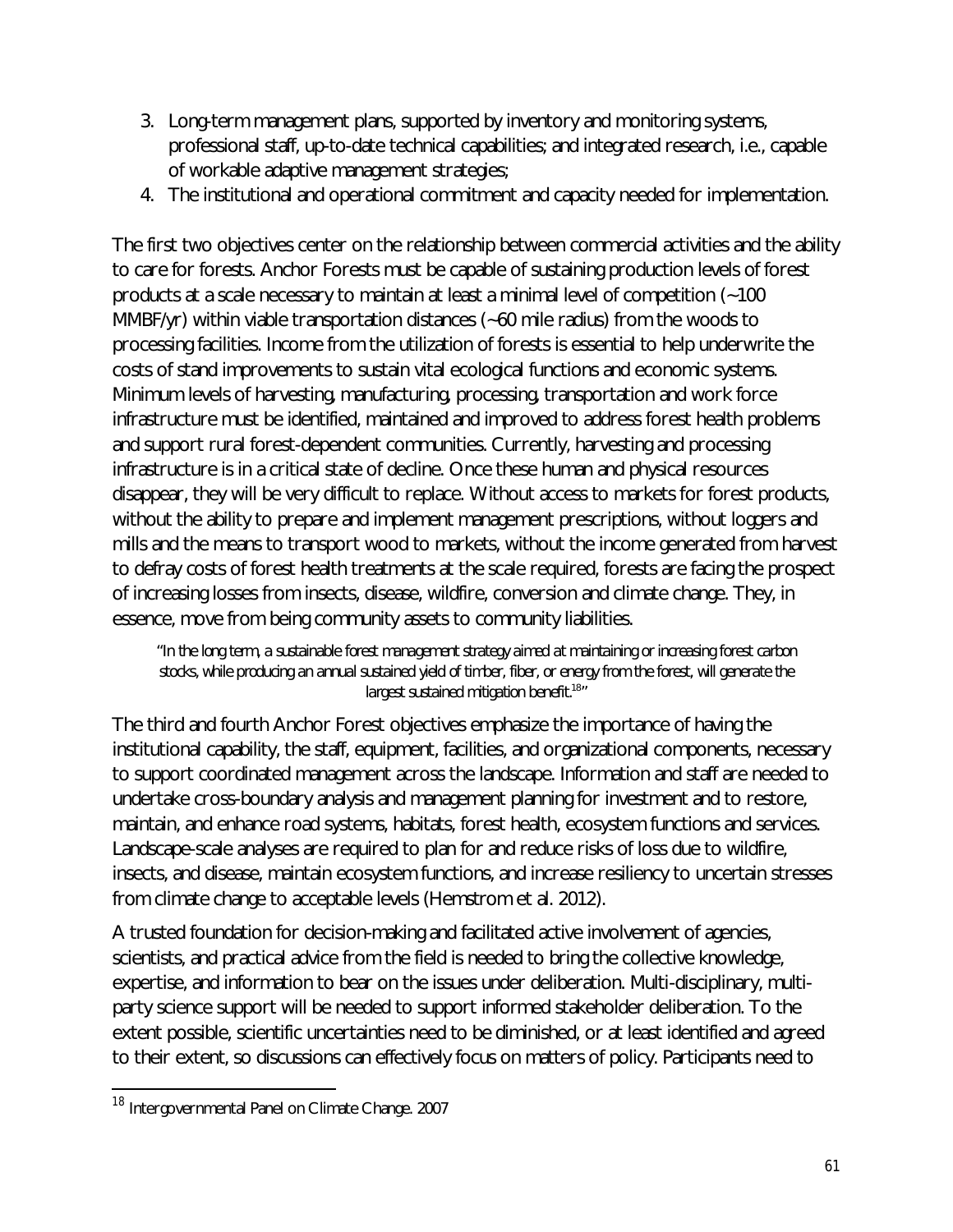- 3. Long-term management plans, supported by inventory and monitoring systems, professional staff, up-to-date technical capabilities; and integrated research, i.e., capable of workable adaptive management strategies;
- 4. The institutional and operational commitment and capacity needed for implementation.

The first two objectives center on the relationship between commercial activities and the ability to care for forests. Anchor Forests must be capable of sustaining production levels of forest products at a scale necessary to maintain at least a minimal level of competition (~100 MMBF/yr) within viable transportation distances (~60 mile radius) from the woods to processing facilities. Income from the utilization of forests is essential to help underwrite the costs of stand improvements to sustain vital ecological functions and economic systems. Minimum levels of harvesting, manufacturing, processing, transportation and work force infrastructure must be identified, maintained and improved to address forest health problems and support rural forest-dependent communities. Currently, harvesting and processing infrastructure is in a critical state of decline. Once these human and physical resources disappear, they will be very difficult to replace. Without access to markets for forest products, without the ability to prepare and implement management prescriptions, without loggers and mills and the means to transport wood to markets, without the income generated from harvest to defray costs of forest health treatments at the scale required, forests are facing the prospect of increasing losses from insects, disease, wildfire, conversion and climate change. They, in essence, move from being community assets to community liabilities.

*"In the long term, a sustainable forest management strategy aimed at maintaining or increasing forest carbon stocks, while producing an annual sustained yield of timber, fiber, or energy from the forest, will generate the largest sustained mitigation benefit.*<sup>18</sup> *"*

The third and fourth Anchor Forest objectives emphasize the importance of having the institutional capability, the staff, equipment, facilities, and organizational components, necessary to support coordinated management across the landscape. Information and staff are needed to undertake cross-boundary analysis and management planning for investment and to restore, maintain, and enhance road systems, habitats, forest health, ecosystem functions and services. Landscape-scale analyses are required to plan for and reduce risks of loss due to wildfire, insects, and disease, maintain ecosystem functions, and increase resiliency to uncertain stresses from climate change to acceptable levels (Hemstrom et al. 2012).

A trusted foundation for decision-making and facilitated active involvement of agencies, scientists, and practical advice from the field is needed to bring the collective knowledge, expertise, and information to bear on the issues under deliberation. Multi-disciplinary, multiparty science support will be needed to support informed stakeholder deliberation. To the extent possible, scientific uncertainties need to be diminished, or at least identified and agreed to their extent, so discussions can effectively focus on matters of policy. Participants need to

 $\overline{a}$ 

<sup>&</sup>lt;sup>18</sup> Intergovernmental Panel on Climate Change. 2007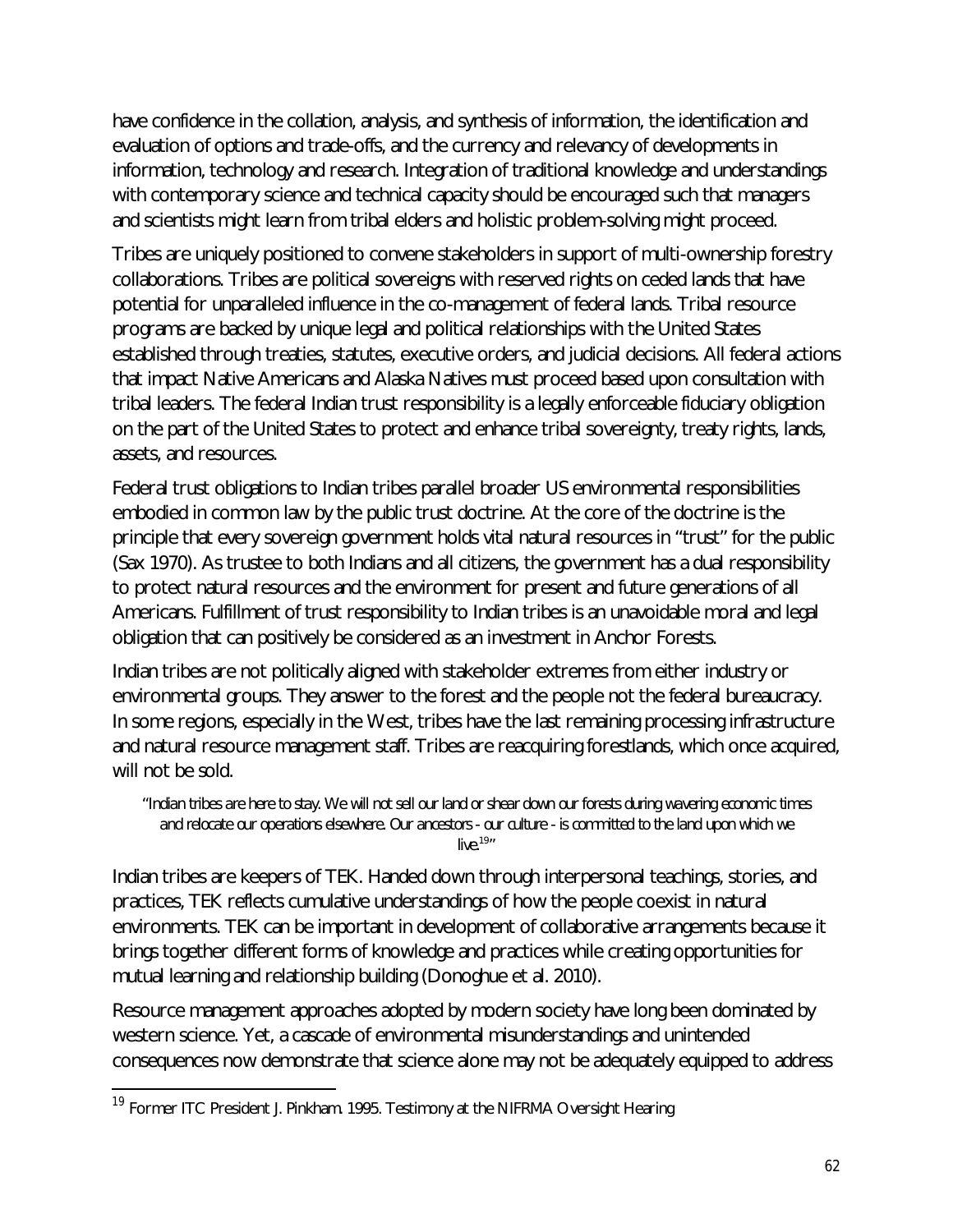have confidence in the collation, analysis, and synthesis of information, the identification and evaluation of options and trade-offs, and the currency and relevancy of developments in information, technology and research. Integration of traditional knowledge and understandings with contemporary science and technical capacity should be encouraged such that managers and scientists might learn from tribal elders and holistic problem-solving might proceed.

Tribes are uniquely positioned to convene stakeholders in support of multi-ownership forestry collaborations. Tribes are political sovereigns with reserved rights on ceded lands that have potential for unparalleled influence in the co-management of federal lands. Tribal resource programs are backed by unique legal and political relationships with the United States established through treaties, statutes, executive orders, and judicial decisions. All federal actions that impact Native Americans and Alaska Natives must proceed based upon consultation with tribal leaders. The federal Indian trust responsibility is a legally enforceable fiduciary obligation on the part of the United States to protect and enhance tribal sovereignty, treaty rights, lands, assets, and resources.

Federal trust obligations to Indian tribes parallel broader US environmental responsibilities embodied in common law by the public trust doctrine. At the core of the doctrine is the principle that every sovereign government holds vital natural resources in "trust" for the public (Sax 1970). As trustee to both Indians and all citizens, the government has a dual responsibility to protect natural resources and the environment for present and future generations of all Americans. Fulfillment of trust responsibility to Indian tribes is an unavoidable moral and legal obligation that can positively be considered as an investment in Anchor Forests.

Indian tribes are not politically aligned with stakeholder extremes from either industry or environmental groups. They answer to the forest and the people not the federal bureaucracy. In some regions, especially in the West, tribes have the last remaining processing infrastructure and natural resource management staff. Tribes are reacquiring forestlands, which once acquired, will not be sold.

*"Indian tribes are here to stay. We will not sell our land or shear down our forests during wavering economic times and relocate our operations elsewhere. Our ancestors - our culture - is committed to the land upon which we live.*<sup>19</sup> *"*

Indian tribes are keepers of TEK. Handed down through interpersonal teachings, stories, and practices, TEK reflects cumulative understandings of how the people coexist in natural environments. TEK can be important in development of collaborative arrangements because it brings together different forms of knowledge and practices while creating opportunities for mutual learning and relationship building (Donoghue et al. 2010).

Resource management approaches adopted by modern society have long been dominated by western science. Yet, a cascade of environmental misunderstandings and unintended consequences now demonstrate that science alone may not be adequately equipped to address

 $\overline{a}$ 

<sup>&</sup>lt;sup>19</sup> Former ITC President J. Pinkham. 1995. Testimony at the NIFRMA Oversight Hearing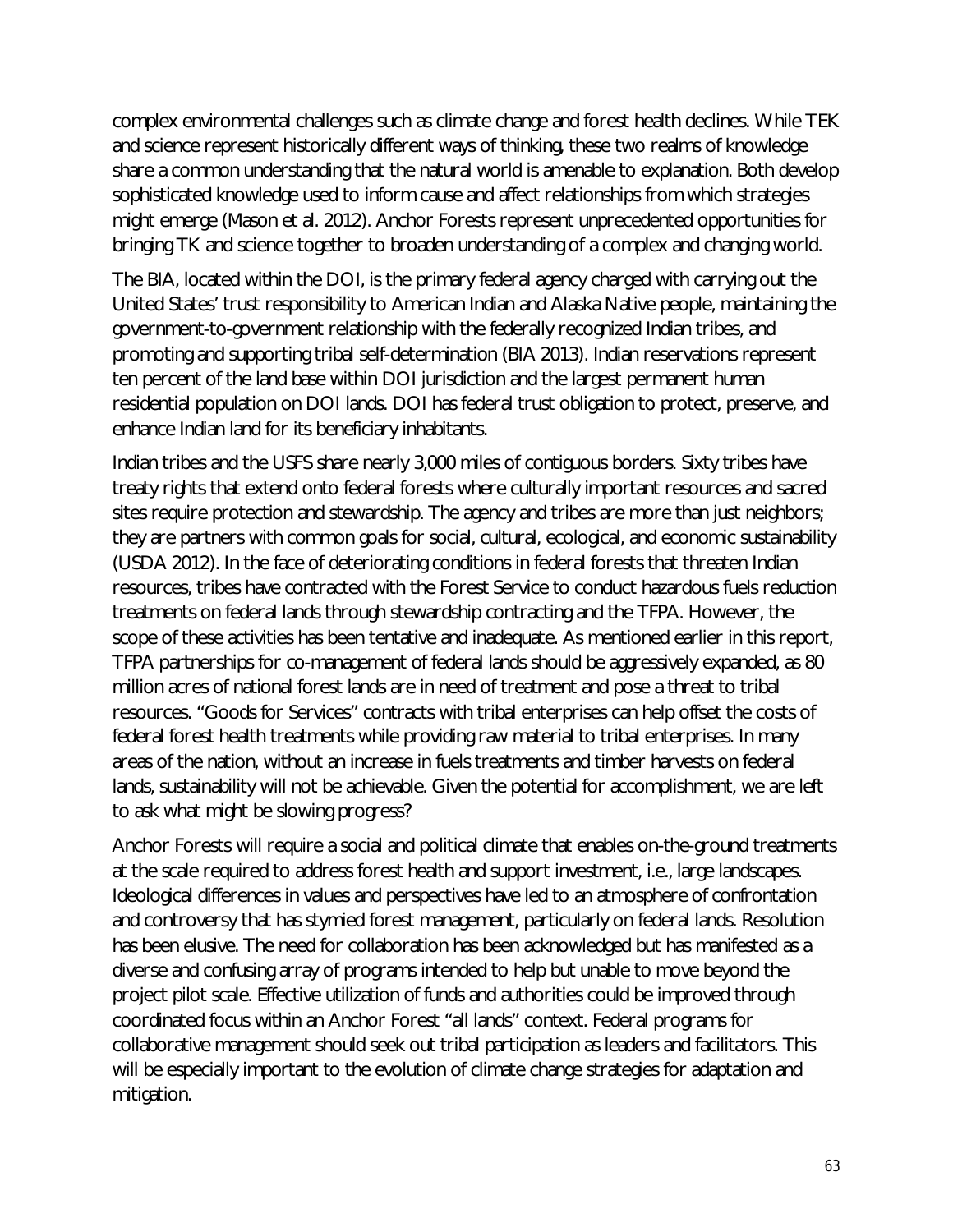complex environmental challenges such as climate change and forest health declines. While TEK and science represent historically different ways of thinking, these two realms of knowledge share a common understanding that the natural world is amenable to explanation. Both develop sophisticated knowledge used to inform cause and affect relationships from which strategies might emerge (Mason et al. 2012). Anchor Forests represent unprecedented opportunities for bringing TK and science together to broaden understanding of a complex and changing world.

The BIA, located within the DOI, is the primary federal agency charged with carrying out the United States' trust responsibility to American Indian and Alaska Native people, maintaining the government-to-government relationship with the federally recognized Indian tribes, and promoting and supporting tribal self-determination (BIA 2013). Indian reservations represent ten percent of the land base within DOI jurisdiction and the largest permanent human residential population on DOI lands. DOI has federal trust obligation to protect, preserve, and enhance Indian land for its beneficiary inhabitants.

Indian tribes and the USFS share nearly 3,000 miles of contiguous borders. Sixty tribes have treaty rights that extend onto federal forests where culturally important resources and sacred sites require protection and stewardship. The agency and tribes are more than just neighbors; they are partners with common goals for social, cultural, ecological, and economic sustainability (USDA 2012). In the face of deteriorating conditions in federal forests that threaten Indian resources, tribes have contracted with the Forest Service to conduct hazardous fuels reduction treatments on federal lands through stewardship contracting and the TFPA. However, the scope of these activities has been tentative and inadequate. As mentioned earlier in this report, TFPA partnerships for co-management of federal lands should be aggressively expanded, as 80 million acres of national forest lands are in need of treatment and pose a threat to tribal resources. "Goods for Services" contracts with tribal enterprises can help offset the costs of federal forest health treatments while providing raw material to tribal enterprises. In many areas of the nation, without an increase in fuels treatments and timber harvests on federal lands, sustainability will not be achievable. Given the potential for accomplishment, we are left to ask what might be slowing progress?

Anchor Forests will require a social and political climate that enables on-the-ground treatments at the scale required to address forest health and support investment, i.e., large landscapes. Ideological differences in values and perspectives have led to an atmosphere of confrontation and controversy that has stymied forest management, particularly on federal lands. Resolution has been elusive. The need for collaboration has been acknowledged but has manifested as a diverse and confusing array of programs intended to help but unable to move beyond the project pilot scale. Effective utilization of funds and authorities could be improved through coordinated focus within an Anchor Forest "all lands" context. Federal programs for collaborative management should seek out tribal participation as leaders and facilitators. This will be especially important to the evolution of climate change strategies for adaptation and mitigation.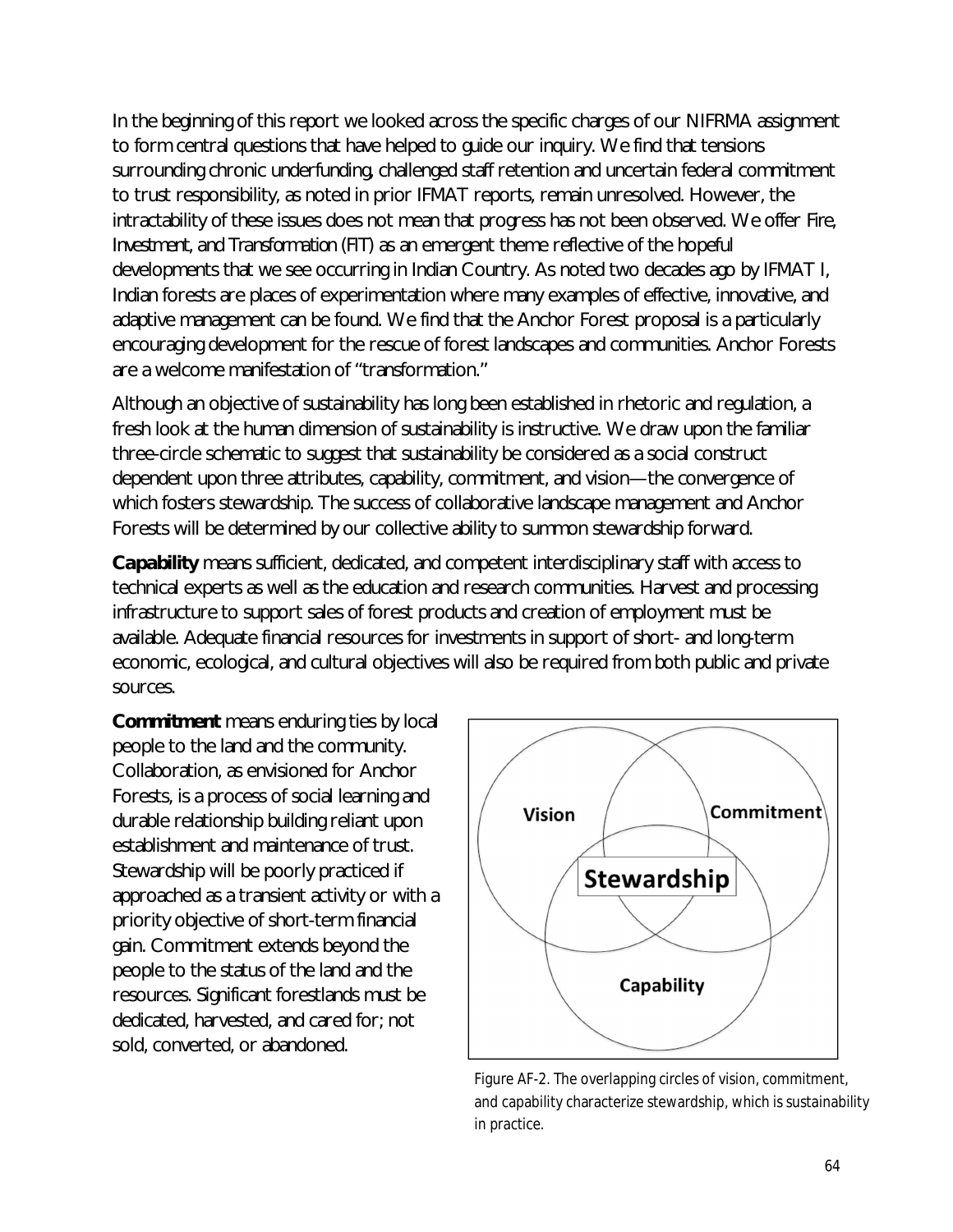In the beginning of this report we looked across the specific charges of our NIFRMA assignment to form central questions that have helped to guide our inquiry. We find that tensions surrounding chronic underfunding, challenged staff retention and uncertain federal commitment to trust responsibility, as noted in prior IFMAT reports, remain unresolved. However, the intractability of these issues does not mean that progress has not been observed. We offer *Fire, Investment, and Transformation (FIT)* as an emergent theme reflective of the hopeful developments that we see occurring in Indian Country. As noted two decades ago by IFMAT I, Indian forests are places of experimentation where many examples of effective, innovative, and adaptive management can be found. We find that the Anchor Forest proposal is a particularly encouraging development for the rescue of forest landscapes and communities. Anchor Forests are a welcome manifestation of "transformation."

Although an objective of sustainability has long been established in rhetoric and regulation, a fresh look at the human dimension of sustainability is instructive. We draw upon the familiar three-circle schematic to suggest that sustainability be considered as a social construct dependent upon three attributes, capability, commitment, and vision—the convergence of which fosters stewardship. The success of collaborative landscape management and Anchor Forests will be determined by our collective ability to summon stewardship forward.

*Capability* means sufficient, dedicated, and competent interdisciplinary staff with access to technical experts as well as the education and research communities. Harvest and processing infrastructure to support sales of forest products and creation of employment must be available. Adequate financial resources for investments in support of short- and long-term economic, ecological, and cultural objectives will also be required from both public and private sources.

*Commitment* means enduring ties by local people to the land and the community. Collaboration, as envisioned for Anchor Forests, is a process of social learning and durable relationship building reliant upon establishment and maintenance of trust. Stewardship will be poorly practiced if approached as a transient activity or with a priority objective of short-term financial gain. Commitment extends beyond the people to the status of the land and the resources. Significant forestlands must be dedicated, harvested, and cared for; not sold, converted, or abandoned.



Figure AF-2. The overlapping circles of vision, commitment, and capability characterize stewardship, which is sustainability in practice.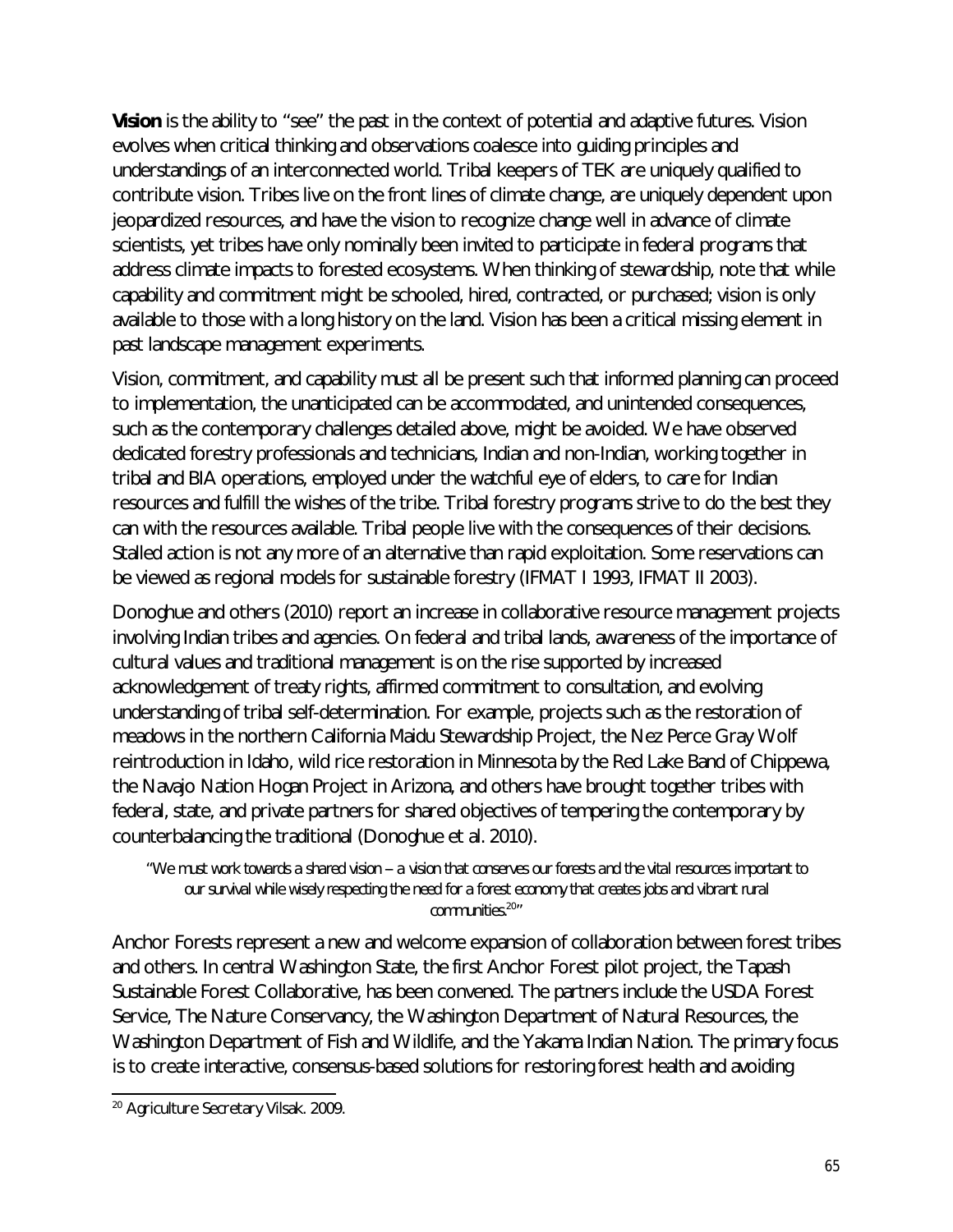**Vision** is the ability to "see" the past in the context of potential and adaptive futures. Vision evolves when critical thinking and observations coalesce into guiding principles and understandings of an interconnected world. Tribal keepers of TEK are uniquely qualified to contribute vision. Tribes live on the front lines of climate change, are uniquely dependent upon jeopardized resources, and have the vision to recognize change well in advance of climate scientists, yet tribes have only nominally been invited to participate in federal programs that address climate impacts to forested ecosystems. When thinking of stewardship, note that while capability and commitment might be schooled, hired, contracted, or purchased; vision is only available to those with a long history on the land. Vision has been a critical missing element in past landscape management experiments.

Vision, commitment, and capability must all be present such that informed planning can proceed to implementation, the unanticipated can be accommodated, and unintended consequences, such as the contemporary challenges detailed above, might be avoided. We have observed dedicated forestry professionals and technicians, Indian and non-Indian, working together in tribal and BIA operations, employed under the watchful eye of elders, to care for Indian resources and fulfill the wishes of the tribe. Tribal forestry programs strive to do the best they can with the resources available. Tribal people live with the consequences of their decisions. Stalled action is not any more of an alternative than rapid exploitation. Some reservations can be viewed as regional models for sustainable forestry (IFMAT I 1993, IFMAT II 2003).

Donoghue and others (2010) report an increase in collaborative resource management projects involving Indian tribes and agencies. On federal and tribal lands, awareness of the importance of cultural values and traditional management is on the rise supported by increased acknowledgement of treaty rights, affirmed commitment to consultation, and evolving understanding of tribal self-determination. For example, projects such as the restoration of meadows in the northern California Maidu Stewardship Project, the Nez Perce Gray Wolf reintroduction in Idaho, wild rice restoration in Minnesota by the Red Lake Band of Chippewa, the Navajo Nation Hogan Project in Arizona, and others have brought together tribes with federal, state, and private partners for shared objectives of tempering the contemporary by counterbalancing the traditional (Donoghue et al. 2010).

*"We must work towards a shared vision -- a vision that conserves our forests and the vital resources important to our survival while wisely respecting the need for a forest economy that creates jobs and vibrant rural communities.*<sup>20</sup> *"*

Anchor Forests represent a new and welcome expansion of collaboration between forest tribes and others. In central Washington State, the first Anchor Forest pilot project, the Tapash Sustainable Forest Collaborative, has been convened. The partners include the USDA Forest Service, The Nature Conservancy, the Washington Department of Natural Resources, the Washington Department of Fish and Wildlife, and the Yakama Indian Nation. The primary focus is to create interactive, consensus-based solutions for restoring forest health and avoiding

 $\overline{a}$ <sup>20</sup> Agriculture Secretary Vilsak. 2009.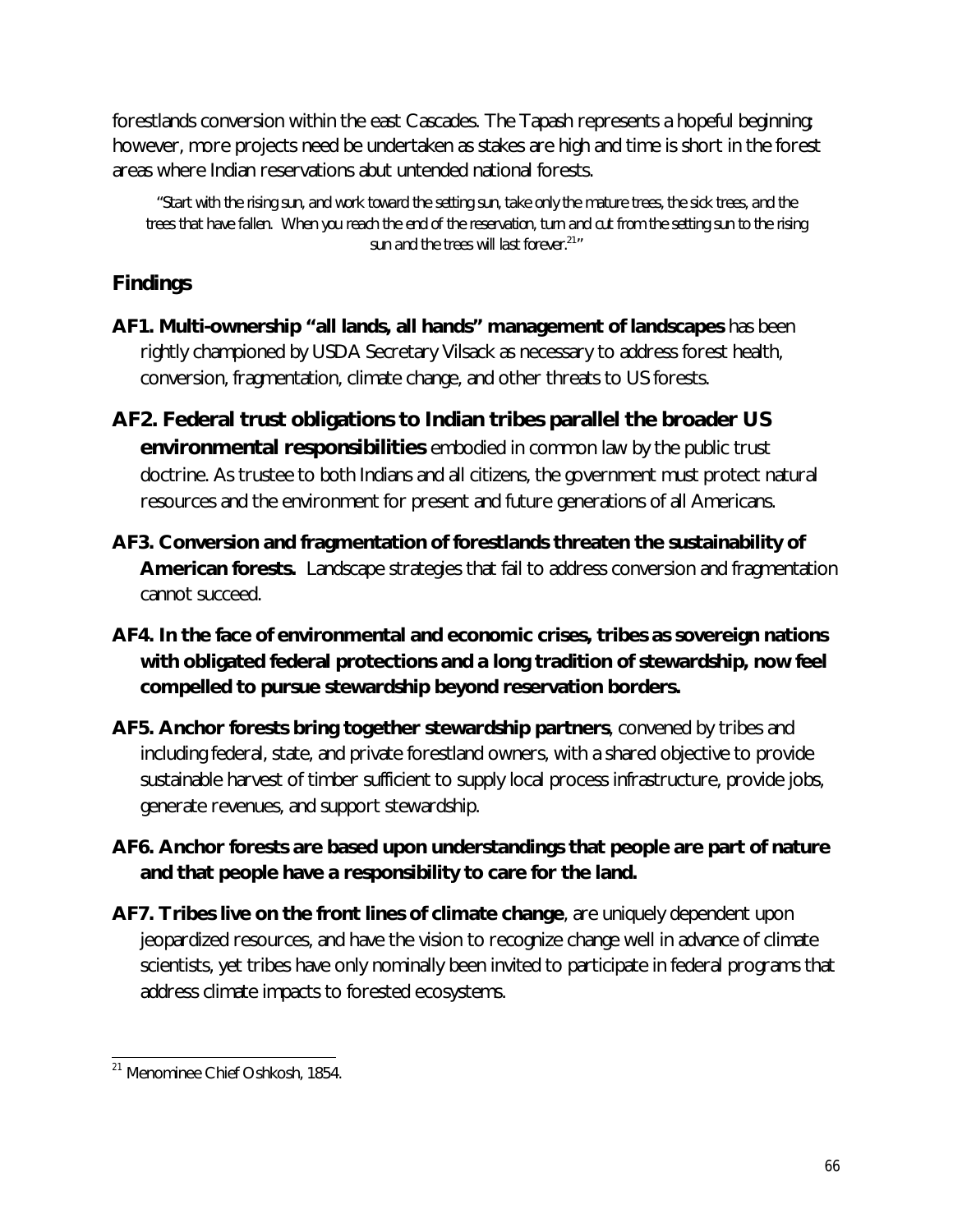forestlands conversion within the east Cascades. The Tapash represents a hopeful beginning; however, more projects need be undertaken as stakes are high and time is short in the forest areas where Indian reservations abut untended national forests.

*"Start with the rising sun, and work toward the setting sun, take only the mature trees, the sick trees, and the trees that have fallen. When you reach the end of the reservation, turn and cut from the setting sun to the rising sun and the trees will last forever.<sup>21</sup> "*

## **Findings**

- **AF1. Multi-ownership "all lands, all hands" management of landscapes** has been rightly championed by USDA Secretary Vilsack as necessary to address forest health, conversion, fragmentation, climate change, and other threats to US forests.
- **AF2. Federal trust obligations to Indian tribes parallel the broader US environmental responsibilities** embodied in common law by the public trust doctrine. As trustee to both Indians and all citizens, the government must protect natural resources and the environment for present and future generations of all Americans.
- **AF3. Conversion and fragmentation of forestlands threaten the sustainability of American forests.** Landscape strategies that fail to address conversion and fragmentation cannot succeed.
- **AF4. In the face of environmental and economic crises, tribes as sovereign nations with obligated federal protections and a long tradition of stewardship, now feel compelled to pursue stewardship beyond reservation borders.**
- **AF5. Anchor forests bring together stewardship partners**, convened by tribes and including federal, state, and private forestland owners, with a shared objective to provide sustainable harvest of timber sufficient to supply local process infrastructure, provide jobs, generate revenues, and support stewardship.
- **AF6. Anchor forests are based upon understandings that people are part of nature and that people have a responsibility to care for the land.**
- **AF7. Tribes live on the front lines of climate change**, are uniquely dependent upon jeopardized resources, and have the vision to recognize change well in advance of climate scientists, yet tribes have only nominally been invited to participate in federal programs that address climate impacts to forested ecosystems.

 $\overline{\phantom{a}}$ <sup>21</sup> Menominee Chief Oshkosh, 1854.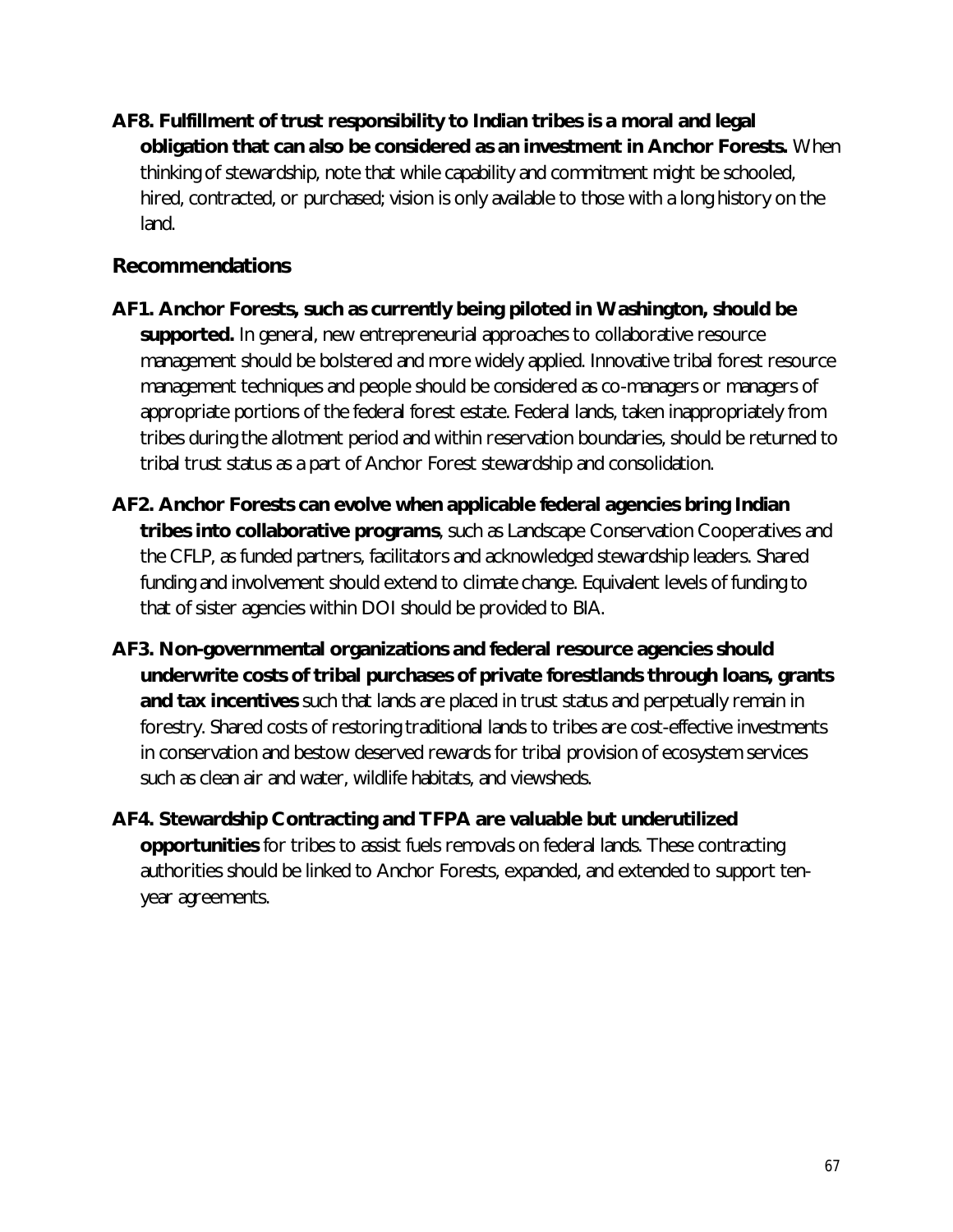**AF8. Fulfillment of trust responsibility to Indian tribes is a moral and legal obligation that can also be considered as an investment in Anchor Forests.** When thinking of stewardship, note that while capability and commitment might be schooled, hired, contracted, or purchased; vision is only available to those with a long history on the land.

## **Recommendations**

- **AF1. Anchor Forests, such as currently being piloted in Washington, should be supported.** In general, new entrepreneurial approaches to collaborative resource management should be bolstered and more widely applied. Innovative tribal forest resource management techniques and people should be considered as co-managers or managers of appropriate portions of the federal forest estate. Federal lands, taken inappropriately from tribes during the allotment period and within reservation boundaries, should be returned to tribal trust status as a part of Anchor Forest stewardship and consolidation.
- **AF2. Anchor Forests can evolve when applicable federal agencies bring Indian tribes into collaborative programs**, such as Landscape Conservation Cooperatives and the CFLP, as funded partners, facilitators and acknowledged stewardship leaders. Shared funding and involvement should extend to climate change. Equivalent levels of funding to that of sister agencies within DOI should be provided to BIA.
- **AF3. Non-governmental organizations and federal resource agencies should underwrite costs of tribal purchases of private forestlands through loans, grants and tax incentives** such that lands are placed in trust status and perpetually remain in forestry. Shared costs of restoring traditional lands to tribes are cost-effective investments in conservation and bestow deserved rewards for tribal provision of ecosystem services such as clean air and water, wildlife habitats, and viewsheds.
- **AF4. Stewardship Contracting and TFPA are valuable but underutilized opportunities** for tribes to assist fuels removals on federal lands. These contracting authorities should be linked to Anchor Forests, expanded, and extended to support tenyear agreements.